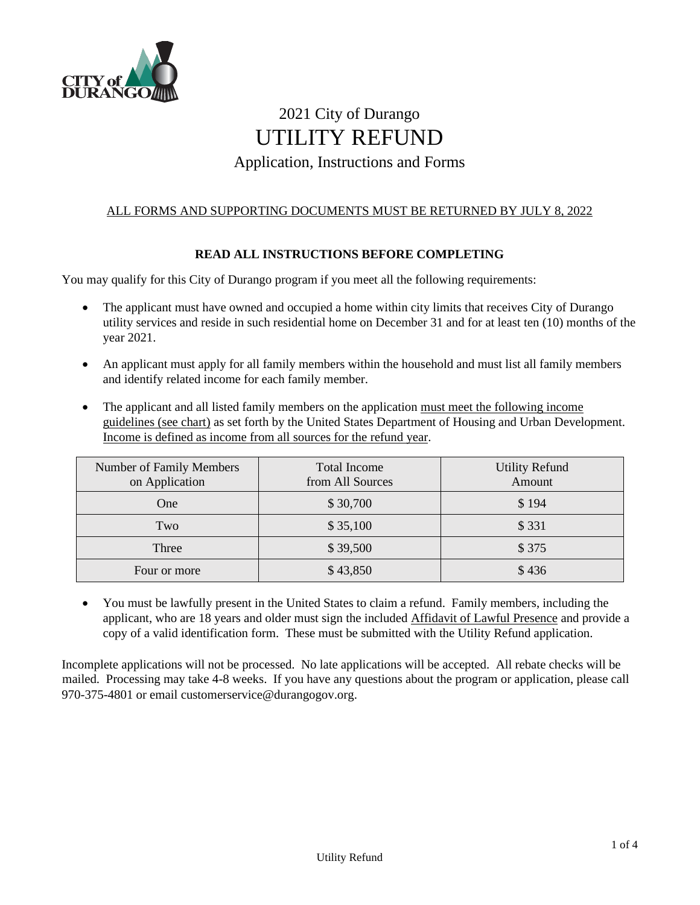

# 2021 City of Durango UTILITY REFUND Application, Instructions and Forms

# ALL FORMS AND SUPPORTING DOCUMENTS MUST BE RETURNED BY JULY 8, 2022

# **READ ALL INSTRUCTIONS BEFORE COMPLETING**

You may qualify for this City of Durango program if you meet all the following requirements:

- The applicant must have owned and occupied a home within city limits that receives City of Durango utility services and reside in such residential home on December 31 and for at least ten (10) months of the year 2021.
- An applicant must apply for all family members within the household and must list all family members and identify related income for each family member.
- The applicant and all listed family members on the application must meet the following income guidelines (see chart) as set forth by the United States Department of Housing and Urban Development. Income is defined as income from all sources for the refund year.

| Number of Family Members<br>on Application | <b>Total Income</b><br>from All Sources | <b>Utility Refund</b><br>Amount |
|--------------------------------------------|-----------------------------------------|---------------------------------|
| One                                        | \$30,700                                | \$194                           |
| Two                                        | \$35,100                                | \$331                           |
| Three                                      | \$39,500                                | \$375                           |
| Four or more                               | \$43,850                                | \$436                           |

• You must be lawfully present in the United States to claim a refund. Family members, including the applicant, who are 18 years and older must sign the included Affidavit of Lawful Presence and provide a copy of a valid identification form. These must be submitted with the Utility Refund application.

Incomplete applications will not be processed. No late applications will be accepted. All rebate checks will be mailed. Processing may take 4-8 weeks. If you have any questions about the program or application, please call 970-375-4801 or email customerservice@durangogov.org.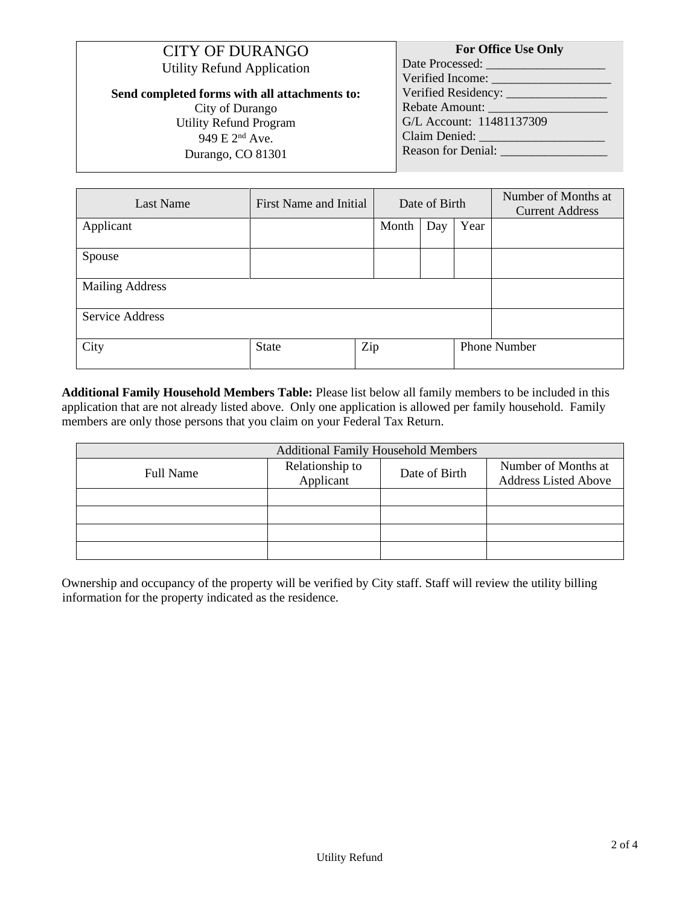| <b>CITY OF DURANGO</b><br><b>Utility Refund Application</b> | <b>For Office Use Only</b><br>Date Processed:<br>Verified Income: |
|-------------------------------------------------------------|-------------------------------------------------------------------|
| Send completed forms with all attachments to:               |                                                                   |
| City of Durango                                             | Rebate Amount:                                                    |
| <b>Utility Refund Program</b>                               | G/L Account: 11481137309                                          |
| 949 E 2 <sup>nd</sup> Ave.                                  |                                                                   |
| Durango, CO 81301                                           | Reason for Denial:                                                |

| <b>Last Name</b>       | First Name and Initial |     | Date of Birth |     |      | Number of Months at<br><b>Current Address</b> |
|------------------------|------------------------|-----|---------------|-----|------|-----------------------------------------------|
| Applicant              |                        |     | Month         | Day | Year |                                               |
| Spouse                 |                        |     |               |     |      |                                               |
| <b>Mailing Address</b> |                        |     |               |     |      |                                               |
| Service Address        |                        |     |               |     |      |                                               |
| City                   | <b>State</b>           | Zip |               |     |      | <b>Phone Number</b>                           |

**Additional Family Household Members Table:** Please list below all family members to be included in this application that are not already listed above. Only one application is allowed per family household. Family members are only those persons that you claim on your Federal Tax Return.

| <b>Additional Family Household Members</b> |                              |               |                                                    |
|--------------------------------------------|------------------------------|---------------|----------------------------------------------------|
| <b>Full Name</b>                           | Relationship to<br>Applicant | Date of Birth | Number of Months at<br><b>Address Listed Above</b> |
|                                            |                              |               |                                                    |
|                                            |                              |               |                                                    |
|                                            |                              |               |                                                    |
|                                            |                              |               |                                                    |

Ownership and occupancy of the property will be verified by City staff. Staff will review the utility billing information for the property indicated as the residence.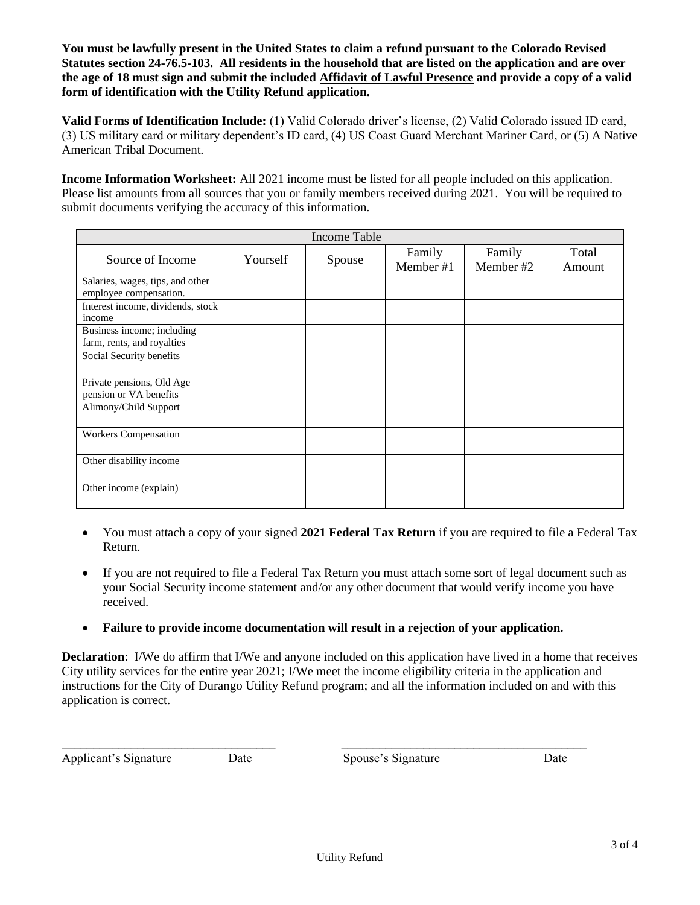**You must be lawfully present in the United States to claim a refund pursuant to the Colorado Revised Statutes section 24-76.5-103. All residents in the household that are listed on the application and are over the age of 18 must sign and submit the included Affidavit of Lawful Presence and provide a copy of a valid form of identification with the Utility Refund application.** 

**Valid Forms of Identification Include:** (1) Valid Colorado driver's license, (2) Valid Colorado issued ID card, (3) US military card or military dependent's ID card, (4) US Coast Guard Merchant Mariner Card, or (5) A Native American Tribal Document.

**Income Information Worksheet:** All 2021 income must be listed for all people included on this application. Please list amounts from all sources that you or family members received during 2021. You will be required to submit documents verifying the accuracy of this information.

| <b>Income Table</b>                                        |          |        |                     |                     |                 |
|------------------------------------------------------------|----------|--------|---------------------|---------------------|-----------------|
| Source of Income                                           | Yourself | Spouse | Family<br>Member #1 | Family<br>Member #2 | Total<br>Amount |
| Salaries, wages, tips, and other<br>employee compensation. |          |        |                     |                     |                 |
| Interest income, dividends, stock<br>income                |          |        |                     |                     |                 |
| Business income; including<br>farm, rents, and royalties   |          |        |                     |                     |                 |
| Social Security benefits                                   |          |        |                     |                     |                 |
| Private pensions, Old Age<br>pension or VA benefits        |          |        |                     |                     |                 |
| Alimony/Child Support                                      |          |        |                     |                     |                 |
| <b>Workers Compensation</b>                                |          |        |                     |                     |                 |
| Other disability income                                    |          |        |                     |                     |                 |
| Other income (explain)                                     |          |        |                     |                     |                 |

- You must attach a copy of your signed **2021 Federal Tax Return** if you are required to file a Federal Tax Return.
- If you are not required to file a Federal Tax Return you must attach some sort of legal document such as your Social Security income statement and/or any other document that would verify income you have received.
- **Failure to provide income documentation will result in a rejection of your application.**

**Declaration**: I/We do affirm that I/We and anyone included on this application have lived in a home that receives City utility services for the entire year 2021; I/We meet the income eligibility criteria in the application and instructions for the City of Durango Utility Refund program; and all the information included on and with this application is correct.

Applicant's Signature Date Date Spouse's Signature Date

\_\_\_\_\_\_\_\_\_\_\_\_\_\_\_\_\_\_\_\_\_\_\_\_\_\_\_\_\_\_\_\_\_\_ \_\_\_\_\_\_\_\_\_\_\_\_\_\_\_\_\_\_\_\_\_\_\_\_\_\_\_\_\_\_\_\_\_\_\_\_\_\_\_